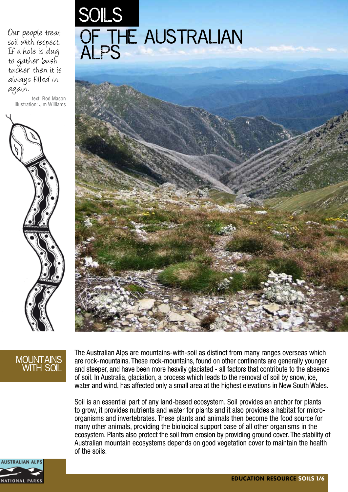Our people treat soil with respect. If a hole is dug to gather bush tucker then it is always filled in again.

text: Rod Mason illustration: Jim Williams







#### MOUNTAINS with soil

The Australian Alps are mountains-with-soil as distinct from many ranges overseas which are rock-mountains. These rock-mountains, found on other continents are generally younger and steeper, and have been more heavily glaciated - all factors that contribute to the absence of soil. In Australia, glaciation, a process which leads to the removal of soil by snow, ice, water and wind, has affected only a small area at the highest elevations in New South Wales.

Soil is an essential part of any land-based ecosystem. Soil provides an anchor for plants to grow, it provides nutrients and water for plants and it also provides a habitat for microorganisms and invertebrates. These plants and animals then become the food source for many other animals, providing the biological support base of all other organisms in the ecosystem. Plants also protect the soil from erosion by providing ground cover. The stability of Australian mountain ecosystems depends on good vegetation cover to maintain the health of the soils.

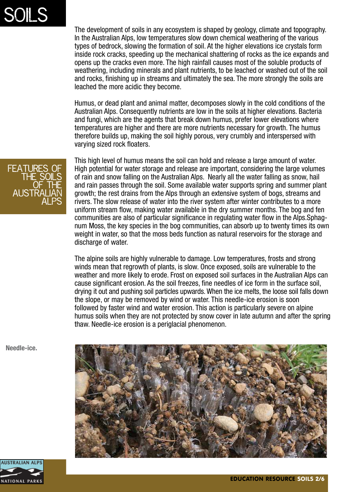# SOILS

The development of soils in any ecosystem is shaped by geology, climate and topography. In the Australian Alps, low temperatures slow down chemical weathering of the various types of bedrock, slowing the formation of soil. At the higher elevations ice crystals form inside rock cracks, speeding up the mechanical shattering of rocks as the ice expands and opens up the cracks even more. The high rainfall causes most of the soluble products of weathering, including minerals and plant nutrients, to be leached or washed out of the soil and rocks, finishing up in streams and ultimately the sea. The more strongly the soils are leached the more acidic they become.

Humus, or dead plant and animal matter, decomposes slowly in the cold conditions of the Australian Alps. Consequently nutrients are low in the soils at higher elevations. Bacteria and fungi, which are the agents that break down humus, prefer lower elevations where temperatures are higher and there are more nutrients necessary for growth. The humus therefore builds up, making the soil highly porous, very crumbly and interspersed with varying sized rock floaters.

This high level of humus means the soil can hold and release a large amount of water. High potential for water storage and release are important, considering the large volumes of rain and snow falling on the Australian Alps. Nearly all the water falling as snow, hail and rain passes through the soil. Some available water supports spring and summer plant growth; the rest drains from the Alps through an extensive system of bogs, streams and rivers. The slow release of water into the river system after winter contributes to a more uniform stream flow, making water available in the dry summer months. The bog and fen communities are also of particular significance in regulating water flow in the Alps.Sphagnum Moss, the key species in the bog communities, can absorb up to twenty times its own weight in water, so that the moss beds function as natural reservoirs for the storage and discharge of water.

The alpine soils are highly vulnerable to damage. Low temperatures, frosts and strong winds mean that regrowth of plants, is slow. Once exposed, soils are vulnerable to the weather and more likely to erode. Frost on exposed soil surfaces in the Australian Alps can cause significant erosion. As the soil freezes, fine needles of ice form in the surface soil, drying it out and pushing soil particles upwards. When the ice melts, the loose soil falls down the slope, or may be removed by wind or water. This needle-ice erosion is soon followed by faster wind and water erosion. This action is particularly severe on alpine humus soils when they are not protected by snow cover in late autumn and after the spring thaw. Needle-ice erosion is a periglacial phenomenon.





**Needle-ice.**

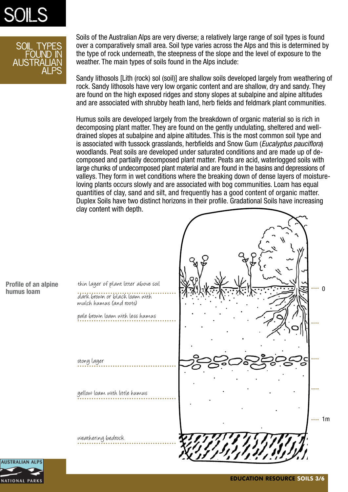



Soils of the Australian Alps are very diverse; a relatively large range of soil types is found over a comparatively small area. Soil type varies across the Alps and this is determined by the type of rock underneath, the steepness of the slope and the level of exposure to the weather. The main types of soils found in the Alps include:

Sandy lithosols [Lith (rock) sol (soil)] are shallow soils developed largely from weathering of rock. Sandy lithosols have very low organic content and are shallow, dry and sandy. They are found on the high exposed ridges and stony slopes at subalpine and alpine altitudes and are associated with shrubby heath land, herb fields and feldmark plant communities.

Humus soils are developed largely from the breakdown of organic material so is rich in decomposing plant matter. They are found on the gently undulating, sheltered and welldrained slopes at subalpine and alpine altitudes. This is the most common soil type and is associated with tussock grasslands, herbfields and Snow Gum (*Eucalyptus pauciflora*) woodlands. Peat soils are developed under saturated conditions and are made up of decomposed and partially decomposed plant matter. Peats are acid, waterlogged soils with large chunks of undecomposed plant material and are found in the basins and depressions of valleys. They form in wet conditions where the breaking down of dense layers of moistureloving plants occurs slowly and are associated with bog communities. Loam has equal quantities of clay, sand and silt, and frequently has a good content of organic matter. Duplex Soils have two distinct horizons in their profile. Gradational Soils have increasing clay content with depth.



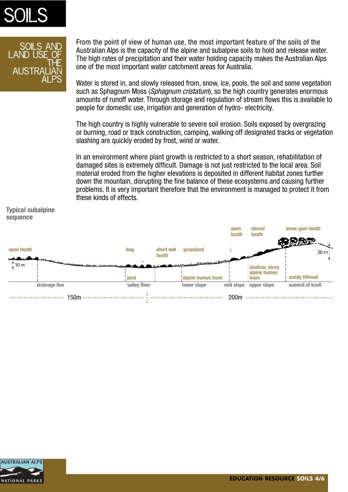

#### Soils and LAND USE\_O<del>F</del> the AUS I RALIAN Alps

From the point of view of human use, the most important feature of the soils of the Australian Alps is the capacity of the alpine and subalpine soils to hold and release water. The high rates of precipitation and their water holding capacity makes the Australian Alps one of the most important water catchment areas for Australia.

Water is stored in, and slowly released from, snow, ice, pools, the soil and some vegetation such as Sphagnum Moss (*Sphagnum cristatum*), so the high country generates enormous amounts of runoff water. Through storage and regulation of stream flows this is available to people for domestic use, irrigation and generation of hydro- electricity.

The high country is highly vulnerable to severe soil erosion. Soils exposed by overgrazing or burning, road or track construction, camping, walking off designated tracks or vegetation slashing are quickly eroded by frost, wind or water.

In an environment where plant growth is restricted to a short season, rehabilitation of damaged sites is extremely difficult. Damage is not just restricted to the local area. Soil material eroded from the higher elevations is deposited in different habitat zones further down the mountain, disrupting the fine balance of these ecosystems and causing further problems. It is very important therefore that the environment is managed to protect it from these kinds of effects.



**Typical subalpine sequence**

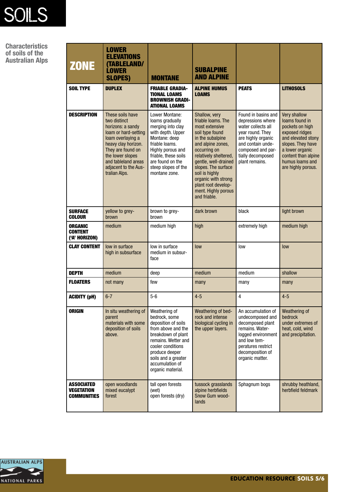

**Characteristics of soils of the Australian Alps**

| <b>ZONE</b>                                                  | <b>LOWER</b><br><b>ELEVATIONS</b><br><b>(TABLELAND/</b><br><b>LOWER</b><br><b>SLOPES)</b>                                                                                                                                          | <b>MONTANE</b>                                                                                                                                                                                                                 | <b>SUBALPINE</b><br><b>AND ALPINE</b>                                                                                                                                                                                                                                                                            |                                                                                                                                                                                           |                                                                                                                                                                                                   |
|--------------------------------------------------------------|------------------------------------------------------------------------------------------------------------------------------------------------------------------------------------------------------------------------------------|--------------------------------------------------------------------------------------------------------------------------------------------------------------------------------------------------------------------------------|------------------------------------------------------------------------------------------------------------------------------------------------------------------------------------------------------------------------------------------------------------------------------------------------------------------|-------------------------------------------------------------------------------------------------------------------------------------------------------------------------------------------|---------------------------------------------------------------------------------------------------------------------------------------------------------------------------------------------------|
| <b>SOIL TYPE</b>                                             | <b>DUPLEX</b>                                                                                                                                                                                                                      | <b>FRIABLE GRADIA-</b><br><b>TIONAL LOAMS</b><br><b>BROWNISH GRADI-</b><br><b>ATIONAL LOAMS</b>                                                                                                                                | <b>ALPINE HUMUS</b><br><b>LOAMS</b>                                                                                                                                                                                                                                                                              | <b>PEATS</b>                                                                                                                                                                              | <b>LITHOSOLS</b>                                                                                                                                                                                  |
| <b>DESCRIPTION</b>                                           | These soils have<br>two distinct<br>horizons: a sandy<br>loam or hard-setting<br>loam overlaying a<br>heavy clay horizon.<br>They are found on<br>the lower slopes<br>and tableland areas<br>adjacent to the Aus-<br>tralian Alps. | Lower Montane:<br>loams gradually<br>merging into clay<br>with depth. Upper<br>Montane: deep<br>friable loams.<br>Highly porous and<br>friable, these soils<br>are found on the<br>steep slopes of the<br>montane zone.        | Shallow, very<br>friable loams. The<br>most extensive<br>soil type found<br>in the subalpine<br>and alpine zones,<br>occurring on<br>relatively sheltered,<br>gentle, well-drained<br>slopes. The surface<br>soil is highly<br>organic with strong<br>plant root develop-<br>ment. Highly porous<br>and friable. | Found in basins and<br>depressions where<br>water collects all<br>year round. They<br>are highly organic<br>and contain unde-<br>composed and par-<br>tially decomposed<br>plant remains. | Very shallow<br>loams found in<br>pockets on high<br>exposed ridges<br>and elevated stony<br>slopes. They have<br>a lower organic<br>content than alpine<br>humus loams and<br>are highly porous. |
| <b>SURFACE</b><br>COLOUR                                     | yellow to grey-<br>brown                                                                                                                                                                                                           | brown to grey-<br>brown                                                                                                                                                                                                        | dark brown                                                                                                                                                                                                                                                                                                       | black                                                                                                                                                                                     | light brown                                                                                                                                                                                       |
| <b>ORGANIC</b><br><b>CONTENT</b><br>('A' HORIZON)            | medium                                                                                                                                                                                                                             | medium high                                                                                                                                                                                                                    | high                                                                                                                                                                                                                                                                                                             | extremely high                                                                                                                                                                            | medium high                                                                                                                                                                                       |
| <b>CLAY CONTENT</b>                                          | low in surface<br>high in subsurface                                                                                                                                                                                               | low in surface<br>medium in subsur-<br>face                                                                                                                                                                                    | low                                                                                                                                                                                                                                                                                                              | low                                                                                                                                                                                       | low                                                                                                                                                                                               |
| <b>DEPTH</b>                                                 | medium                                                                                                                                                                                                                             | deep                                                                                                                                                                                                                           | medium                                                                                                                                                                                                                                                                                                           | medium                                                                                                                                                                                    | shallow                                                                                                                                                                                           |
| <b>FLOATERS</b>                                              | not many                                                                                                                                                                                                                           | few                                                                                                                                                                                                                            | many                                                                                                                                                                                                                                                                                                             | many                                                                                                                                                                                      | many                                                                                                                                                                                              |
| <b>ACIDITY (pH)</b>                                          | $6 - 7$                                                                                                                                                                                                                            | $5-6$                                                                                                                                                                                                                          | $4 - 5$                                                                                                                                                                                                                                                                                                          | 4                                                                                                                                                                                         | $4 - 5$                                                                                                                                                                                           |
| <b>ORIGIN</b>                                                | In situ weathering of<br>parent<br>materials with some<br>deposition of soils<br>above.                                                                                                                                            | Weathering of<br>bedrock, some<br>deposition of soils<br>from above and the<br>breakdown of plant<br>remains. Wetter and<br>cooler conditions<br>produce deeper<br>soils and a greater<br>accumulation of<br>organic material. | Weathering of bed-<br>rock and intense<br>biological cycling in<br>the upper layers.                                                                                                                                                                                                                             | An accumulation of<br>undecomposed and<br>decomposed plant<br>remains. Water-<br>logged environment<br>and low tem-<br>peratures restrict<br>decomposition of<br>organic matter.          | Weathering of<br>bedrock<br>under extremes of<br>heat, cold, wind<br>and precipitation.                                                                                                           |
| <b>ASSOCIATED</b><br><b>VEGETATION</b><br><b>COMMUNITIES</b> | open woodlands<br>mixed eucalypt<br>forest                                                                                                                                                                                         | tall open forests<br>(wet)<br>open forests (dry)                                                                                                                                                                               | tussock grasslands<br>alpine herbfields<br>Snow Gum wood-<br>lands                                                                                                                                                                                                                                               | Sphagnum bogs                                                                                                                                                                             | shrubby heathland,<br>herbfield feldmark                                                                                                                                                          |